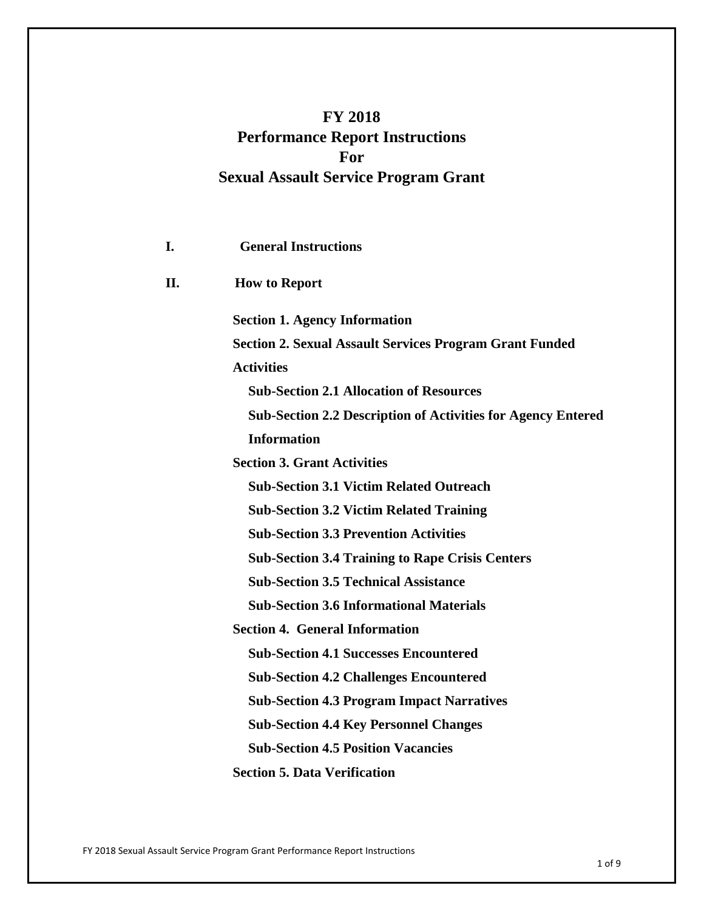# **FY 2018 Performance Report Instructions For Sexual Assault Service Program Grant**

| I.  | <b>General Instructions</b>                                         |
|-----|---------------------------------------------------------------------|
| II. | <b>How to Report</b>                                                |
|     | <b>Section 1. Agency Information</b>                                |
|     | <b>Section 2. Sexual Assault Services Program Grant Funded</b>      |
|     | <b>Activities</b>                                                   |
|     | <b>Sub-Section 2.1 Allocation of Resources</b>                      |
|     | <b>Sub-Section 2.2 Description of Activities for Agency Entered</b> |
|     | <b>Information</b>                                                  |
|     | <b>Section 3. Grant Activities</b>                                  |
|     | <b>Sub-Section 3.1 Victim Related Outreach</b>                      |
|     | <b>Sub-Section 3.2 Victim Related Training</b>                      |
|     | <b>Sub-Section 3.3 Prevention Activities</b>                        |
|     | <b>Sub-Section 3.4 Training to Rape Crisis Centers</b>              |
|     | <b>Sub-Section 3.5 Technical Assistance</b>                         |
|     | <b>Sub-Section 3.6 Informational Materials</b>                      |
|     | <b>Section 4. General Information</b>                               |
|     | <b>Sub-Section 4.1 Successes Encountered</b>                        |
|     | <b>Sub-Section 4.2 Challenges Encountered</b>                       |
|     | <b>Sub-Section 4.3 Program Impact Narratives</b>                    |
|     | <b>Sub-Section 4.4 Key Personnel Changes</b>                        |
|     | <b>Sub-Section 4.5 Position Vacancies</b>                           |
|     | <b>Section 5. Data Verification</b>                                 |

FY 2018 Sexual Assault Service Program Grant Performance Report Instructions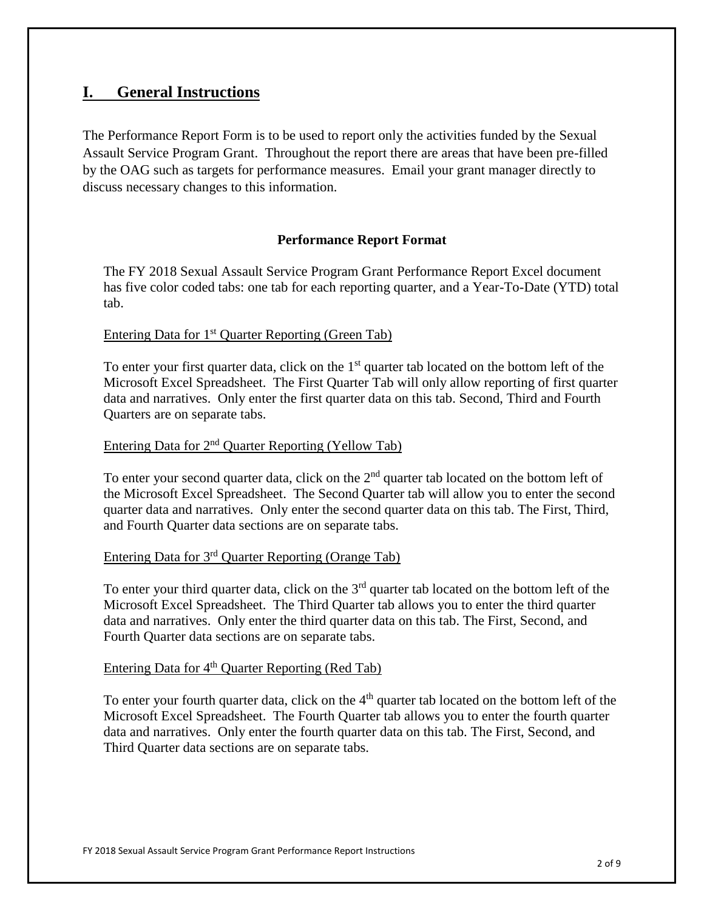## **I. General Instructions**

The Performance Report Form is to be used to report only the activities funded by the Sexual Assault Service Program Grant. Throughout the report there are areas that have been pre-filled by the OAG such as targets for performance measures. Email your grant manager directly to discuss necessary changes to this information.

## **Performance Report Format**

The FY 2018 Sexual Assault Service Program Grant Performance Report Excel document has five color coded tabs: one tab for each reporting quarter, and a Year-To-Date (YTD) total tab.

## Entering Data for 1<sup>st</sup> Quarter Reporting (Green Tab)

To enter your first quarter data, click on the  $1<sup>st</sup>$  quarter tab located on the bottom left of the Microsoft Excel Spreadsheet. The First Quarter Tab will only allow reporting of first quarter data and narratives. Only enter the first quarter data on this tab. Second, Third and Fourth Quarters are on separate tabs.

## Entering Data for 2nd Quarter Reporting (Yellow Tab)

To enter your second quarter data, click on the  $2<sup>nd</sup>$  quarter tab located on the bottom left of the Microsoft Excel Spreadsheet. The Second Quarter tab will allow you to enter the second quarter data and narratives. Only enter the second quarter data on this tab. The First, Third, and Fourth Quarter data sections are on separate tabs.

## Entering Data for 3rd Quarter Reporting (Orange Tab)

To enter your third quarter data, click on the  $3<sup>rd</sup>$  quarter tab located on the bottom left of the Microsoft Excel Spreadsheet. The Third Quarter tab allows you to enter the third quarter data and narratives. Only enter the third quarter data on this tab. The First, Second, and Fourth Quarter data sections are on separate tabs.

## Entering Data for  $4<sup>th</sup>$  Quarter Reporting (Red Tab)

To enter your fourth quarter data, click on the  $4<sup>th</sup>$  quarter tab located on the bottom left of the Microsoft Excel Spreadsheet. The Fourth Quarter tab allows you to enter the fourth quarter data and narratives. Only enter the fourth quarter data on this tab. The First, Second, and Third Quarter data sections are on separate tabs.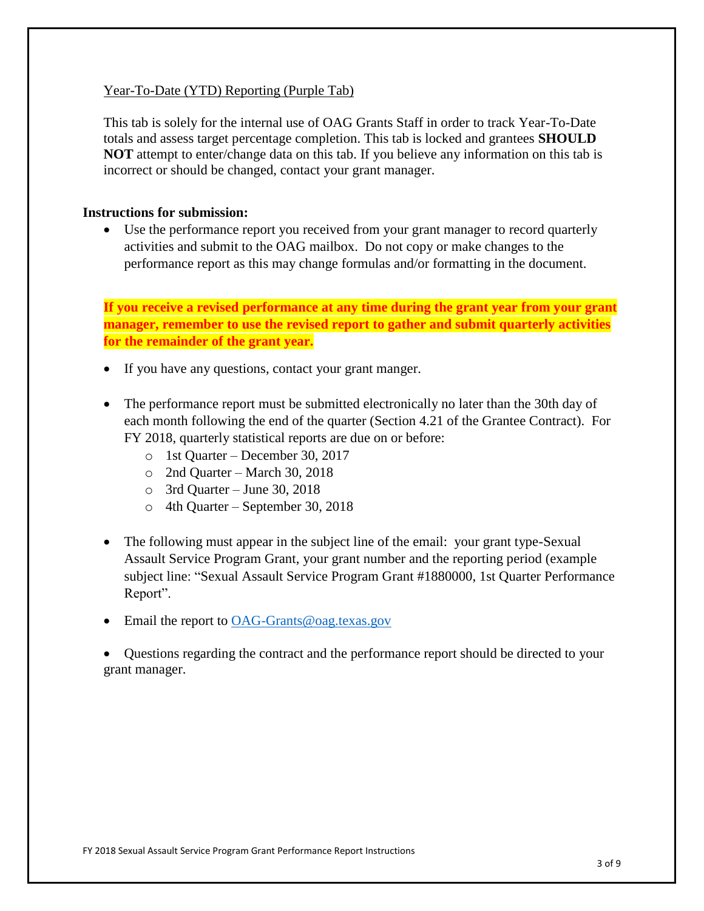## Year-To-Date (YTD) Reporting (Purple Tab)

This tab is solely for the internal use of OAG Grants Staff in order to track Year-To-Date totals and assess target percentage completion. This tab is locked and grantees **SHOULD NOT** attempt to enter/change data on this tab. If you believe any information on this tab is incorrect or should be changed, contact your grant manager.

#### **Instructions for submission:**

• Use the performance report you received from your grant manager to record quarterly activities and submit to the OAG mailbox. Do not copy or make changes to the performance report as this may change formulas and/or formatting in the document.

**If you receive a revised performance at any time during the grant year from your grant manager, remember to use the revised report to gather and submit quarterly activities for the remainder of the grant year.**

- If you have any questions, contact your grant manger.
- The performance report must be submitted electronically no later than the 30th day of each month following the end of the quarter (Section 4.21 of the Grantee Contract). For FY 2018, quarterly statistical reports are due on or before:
	- o 1st Quarter December 30, 2017
	- o 2nd Quarter March 30, 2018
	- o 3rd Quarter June 30, 2018
	- o 4th Quarter September 30, 2018
- The following must appear in the subject line of the email: your grant type-Sexual Assault Service Program Grant, your grant number and the reporting period (example subject line: "Sexual Assault Service Program Grant #1880000, 1st Quarter Performance Report".
- Email the report to [OAG-Grants@oag.texas.gov](mailto:OAG-Grants@oag.texas.gov)

• Questions regarding the contract and the performance report should be directed to your grant manager.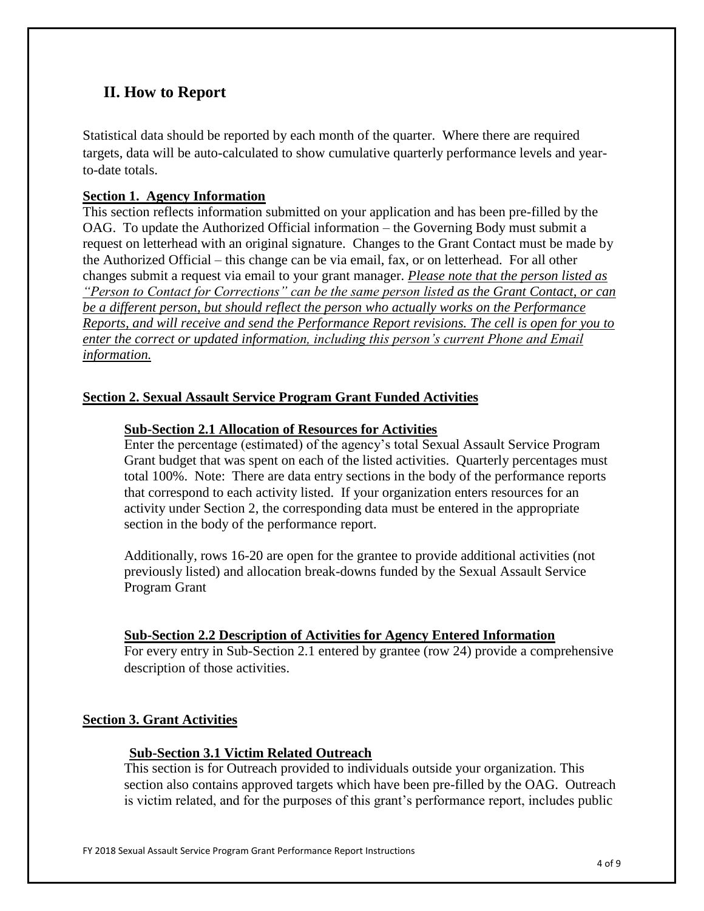## **II. How to Report**

Statistical data should be reported by each month of the quarter. Where there are required targets, data will be auto-calculated to show cumulative quarterly performance levels and yearto-date totals.

## **Section 1. Agency Information**

This section reflects information submitted on your application and has been pre-filled by the OAG. To update the Authorized Official information – the Governing Body must submit a request on letterhead with an original signature. Changes to the Grant Contact must be made by the Authorized Official – this change can be via email, fax, or on letterhead. For all other changes submit a request via email to your grant manager. *Please note that the person listed as "Person to Contact for Corrections" can be the same person listed as the Grant Contact, or can be a different person, but should reflect the person who actually works on the Performance Reports, and will receive and send the Performance Report revisions. The cell is open for you to enter the correct or updated information, including this person's current Phone and Email information.*

## **Section 2. Sexual Assault Service Program Grant Funded Activities**

## **Sub-Section 2.1 Allocation of Resources for Activities**

Enter the percentage (estimated) of the agency's total Sexual Assault Service Program Grant budget that was spent on each of the listed activities. Quarterly percentages must total 100%. Note: There are data entry sections in the body of the performance reports that correspond to each activity listed. If your organization enters resources for an activity under Section 2, the corresponding data must be entered in the appropriate section in the body of the performance report.

Additionally, rows 16-20 are open for the grantee to provide additional activities (not previously listed) and allocation break-downs funded by the Sexual Assault Service Program Grant

## **Sub-Section 2.2 Description of Activities for Agency Entered Information**

For every entry in Sub-Section 2.1 entered by grantee (row 24) provide a comprehensive description of those activities.

## **Section 3. Grant Activities**

## **Sub-Section 3.1 Victim Related Outreach**

This section is for Outreach provided to individuals outside your organization. This section also contains approved targets which have been pre-filled by the OAG. Outreach is victim related, and for the purposes of this grant's performance report, includes public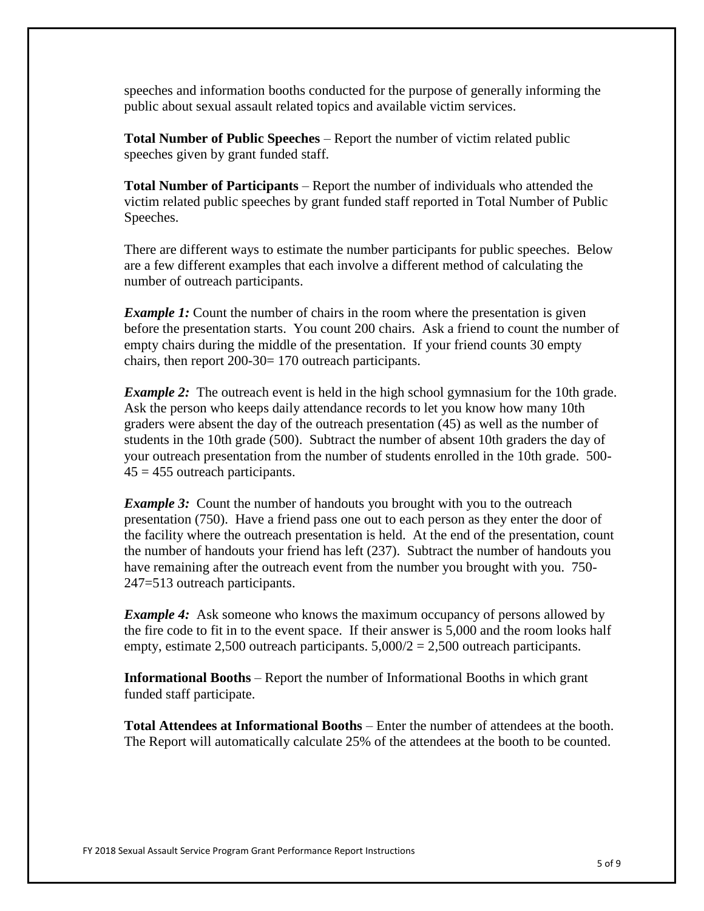speeches and information booths conducted for the purpose of generally informing the public about sexual assault related topics and available victim services.

**Total Number of Public Speeches** – Report the number of victim related public speeches given by grant funded staff.

**Total Number of Participants** – Report the number of individuals who attended the victim related public speeches by grant funded staff reported in Total Number of Public Speeches.

There are different ways to estimate the number participants for public speeches. Below are a few different examples that each involve a different method of calculating the number of outreach participants.

*Example 1:* Count the number of chairs in the room where the presentation is given before the presentation starts. You count 200 chairs. Ask a friend to count the number of empty chairs during the middle of the presentation. If your friend counts 30 empty chairs, then report 200-30= 170 outreach participants.

*Example 2*: The outreach event is held in the high school gymnasium for the 10th grade. Ask the person who keeps daily attendance records to let you know how many 10th graders were absent the day of the outreach presentation (45) as well as the number of students in the 10th grade (500). Subtract the number of absent 10th graders the day of your outreach presentation from the number of students enrolled in the 10th grade. 500-  $45 = 455$  outreach participants.

*Example 3:* Count the number of handouts you brought with you to the outreach presentation (750). Have a friend pass one out to each person as they enter the door of the facility where the outreach presentation is held. At the end of the presentation, count the number of handouts your friend has left (237). Subtract the number of handouts you have remaining after the outreach event from the number you brought with you. 750- 247=513 outreach participants.

*Example 4:* Ask someone who knows the maximum occupancy of persons allowed by the fire code to fit in to the event space. If their answer is 5,000 and the room looks half empty, estimate 2,500 outreach participants.  $5,000/2 = 2,500$  outreach participants.

**Informational Booths** – Report the number of Informational Booths in which grant funded staff participate.

**Total Attendees at Informational Booths** – Enter the number of attendees at the booth. The Report will automatically calculate 25% of the attendees at the booth to be counted.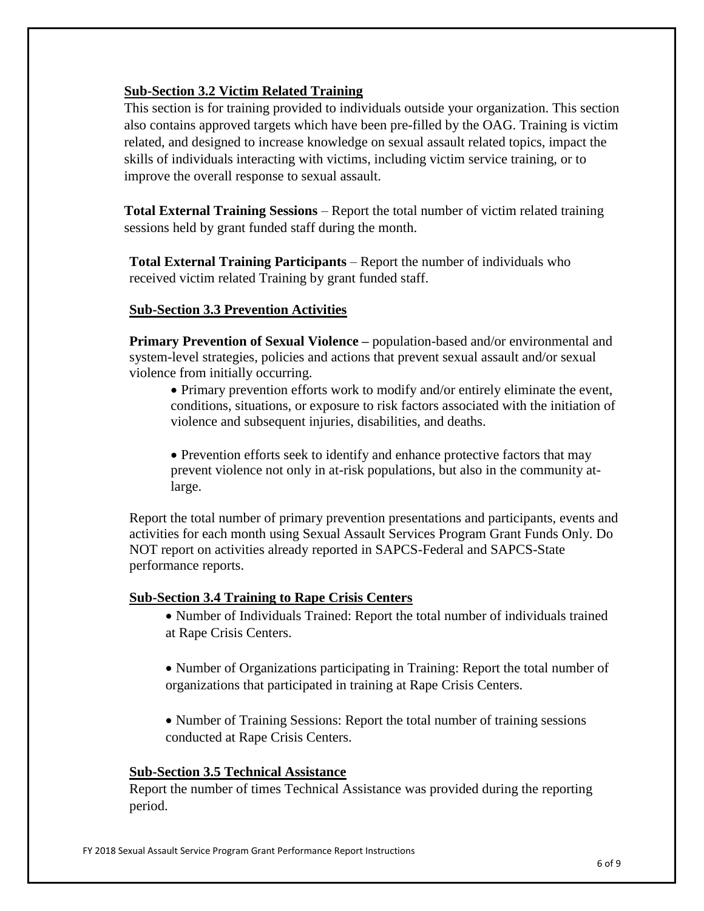## **Sub-Section 3.2 Victim Related Training**

This section is for training provided to individuals outside your organization. This section also contains approved targets which have been pre-filled by the OAG. Training is victim related, and designed to increase knowledge on sexual assault related topics, impact the skills of individuals interacting with victims, including victim service training, or to improve the overall response to sexual assault.

**Total External Training Sessions** – Report the total number of victim related training sessions held by grant funded staff during the month.

**Total External Training Participants** – Report the number of individuals who received victim related Training by grant funded staff.

## **Sub-Section 3.3 Prevention Activities**

**Primary Prevention of Sexual Violence –** population-based and/or environmental and system-level strategies, policies and actions that prevent sexual assault and/or sexual violence from initially occurring.

• Primary prevention efforts work to modify and/or entirely eliminate the event, conditions, situations, or exposure to risk factors associated with the initiation of violence and subsequent injuries, disabilities, and deaths.

• Prevention efforts seek to identify and enhance protective factors that may prevent violence not only in at-risk populations, but also in the community atlarge.

Report the total number of primary prevention presentations and participants, events and activities for each month using Sexual Assault Services Program Grant Funds Only. Do NOT report on activities already reported in SAPCS-Federal and SAPCS-State performance reports.

## **Sub-Section 3.4 Training to Rape Crisis Centers**

- Number of Individuals Trained: Report the total number of individuals trained at Rape Crisis Centers.
- Number of Organizations participating in Training: Report the total number of organizations that participated in training at Rape Crisis Centers.
- Number of Training Sessions: Report the total number of training sessions conducted at Rape Crisis Centers.

## **Sub-Section 3.5 Technical Assistance**

Report the number of times Technical Assistance was provided during the reporting period.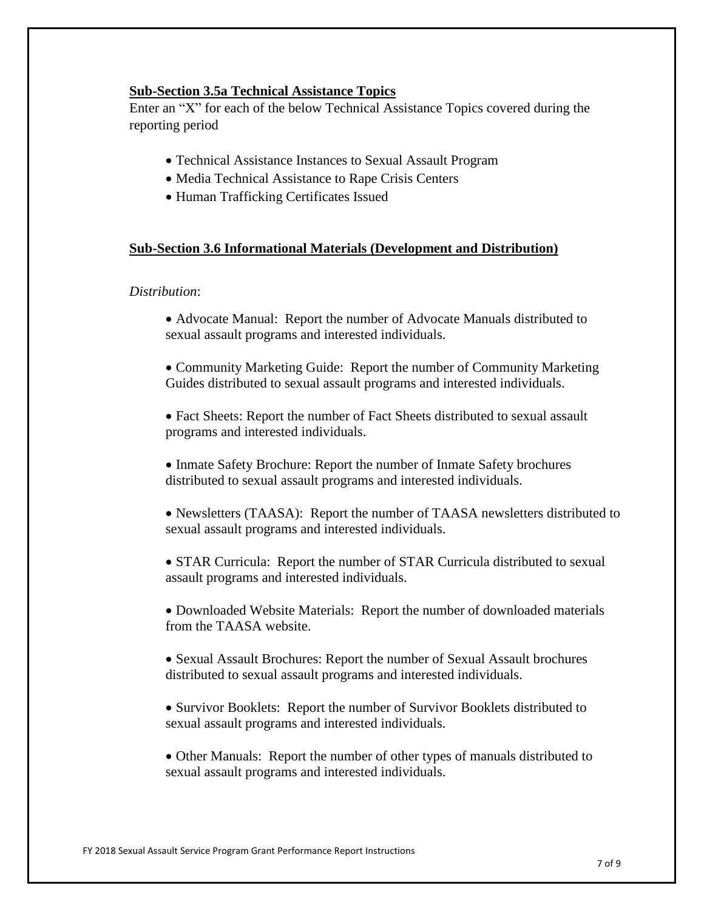## **Sub-Section 3.5a Technical Assistance Topics**

Enter an "X" for each of the below Technical Assistance Topics covered during the reporting period

- Technical Assistance Instances to Sexual Assault Program
- Media Technical Assistance to Rape Crisis Centers
- Human Trafficking Certificates Issued

#### **Sub-Section 3.6 Informational Materials (Development and Distribution)**

#### *Distribution*:

- Advocate Manual: Report the number of Advocate Manuals distributed to sexual assault programs and interested individuals.
- Community Marketing Guide: Report the number of Community Marketing Guides distributed to sexual assault programs and interested individuals.
- Fact Sheets: Report the number of Fact Sheets distributed to sexual assault programs and interested individuals.
- Inmate Safety Brochure: Report the number of Inmate Safety brochures distributed to sexual assault programs and interested individuals.
- Newsletters (TAASA): Report the number of TAASA newsletters distributed to sexual assault programs and interested individuals.
- STAR Curricula: Report the number of STAR Curricula distributed to sexual assault programs and interested individuals.
- Downloaded Website Materials: Report the number of downloaded materials from the TAASA website.
- Sexual Assault Brochures: Report the number of Sexual Assault brochures distributed to sexual assault programs and interested individuals.
- Survivor Booklets: Report the number of Survivor Booklets distributed to sexual assault programs and interested individuals.
- Other Manuals: Report the number of other types of manuals distributed to sexual assault programs and interested individuals.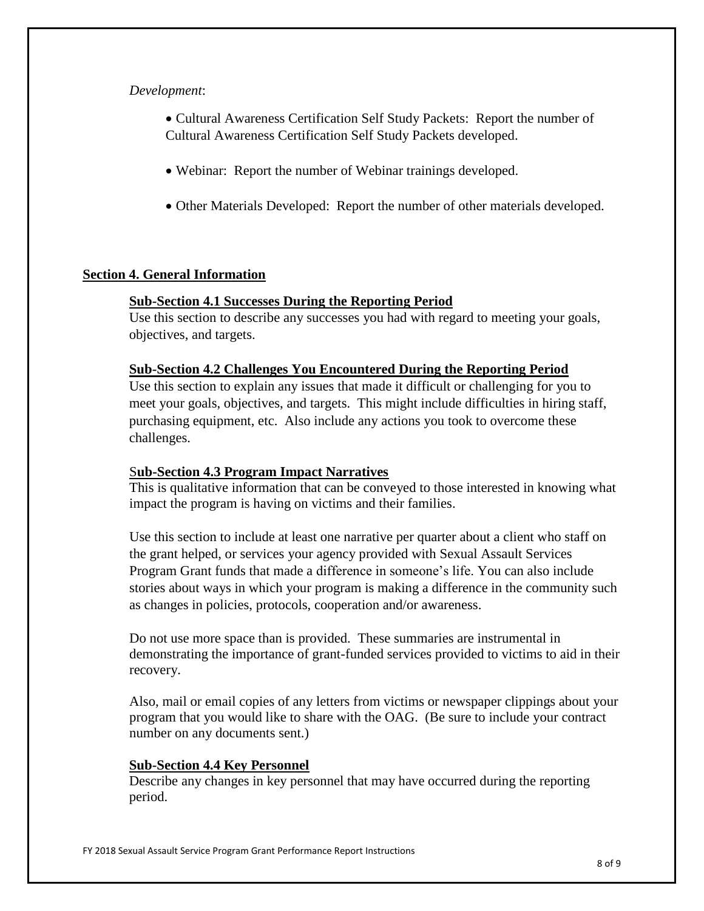#### *Development*:

• Cultural Awareness Certification Self Study Packets: Report the number of Cultural Awareness Certification Self Study Packets developed.

- Webinar: Report the number of Webinar trainings developed.
- Other Materials Developed: Report the number of other materials developed.

## **Section 4. General Information**

## **Sub-Section 4.1 Successes During the Reporting Period**

Use this section to describe any successes you had with regard to meeting your goals, objectives, and targets.

#### **Sub-Section 4.2 Challenges You Encountered During the Reporting Period**

Use this section to explain any issues that made it difficult or challenging for you to meet your goals, objectives, and targets. This might include difficulties in hiring staff, purchasing equipment, etc. Also include any actions you took to overcome these challenges.

## S**ub-Section 4.3 Program Impact Narratives**

This is qualitative information that can be conveyed to those interested in knowing what impact the program is having on victims and their families.

Use this section to include at least one narrative per quarter about a client who staff on the grant helped, or services your agency provided with Sexual Assault Services Program Grant funds that made a difference in someone's life. You can also include stories about ways in which your program is making a difference in the community such as changes in policies, protocols, cooperation and/or awareness.

Do not use more space than is provided. These summaries are instrumental in demonstrating the importance of grant-funded services provided to victims to aid in their recovery.

Also, mail or email copies of any letters from victims or newspaper clippings about your program that you would like to share with the OAG. (Be sure to include your contract number on any documents sent.)

## **Sub-Section 4.4 Key Personnel**

Describe any changes in key personnel that may have occurred during the reporting period.